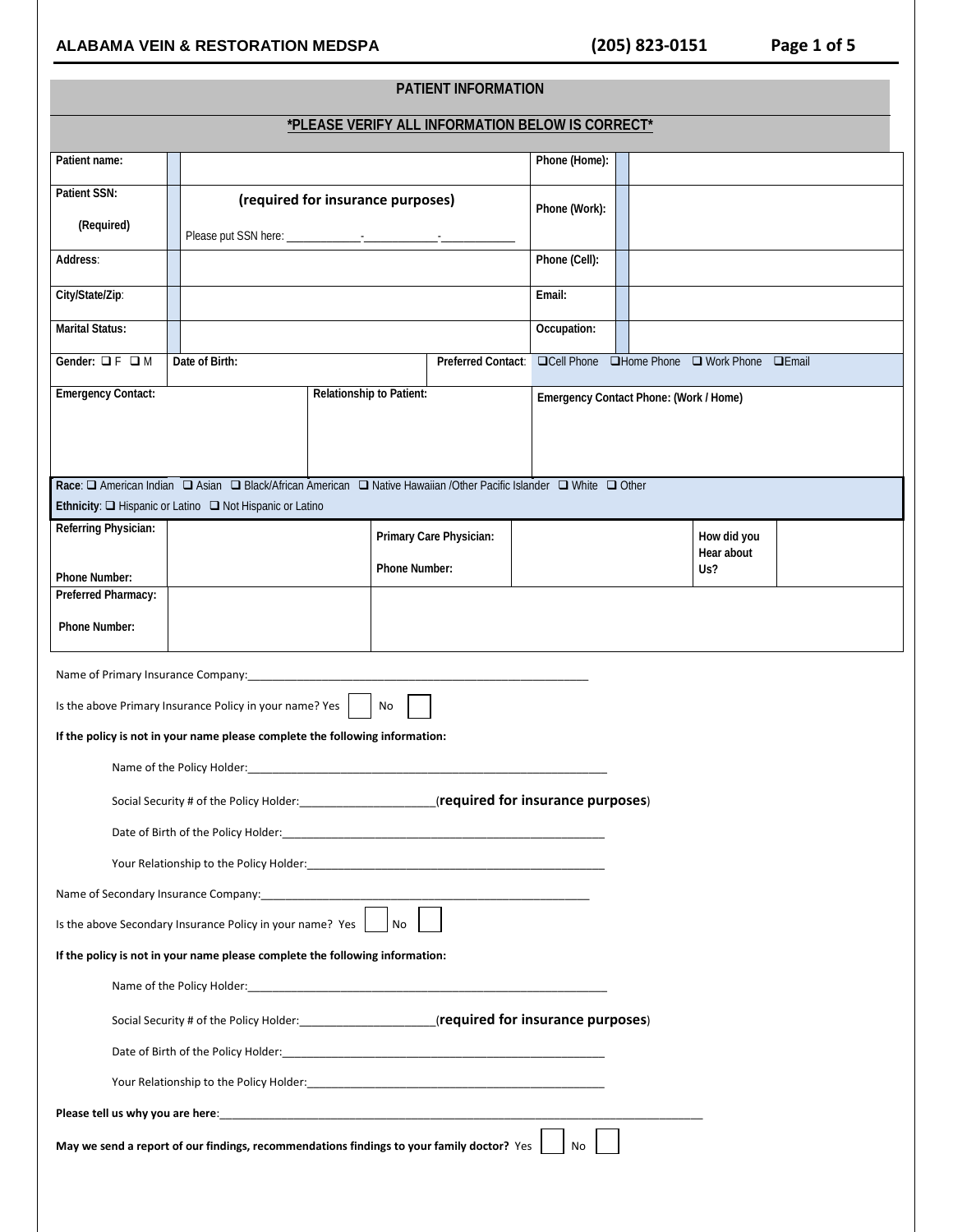# **ALABAMA VEIN & RESTORATION MEDSPA (205) 823-0151 Page 1 of 5**

| <b>PATIENT INFORMATION</b>                                                                      |                                                                                                                                                                                |                                                  |                         |                                        |  |                                  |  |  |  |  |
|-------------------------------------------------------------------------------------------------|--------------------------------------------------------------------------------------------------------------------------------------------------------------------------------|--------------------------------------------------|-------------------------|----------------------------------------|--|----------------------------------|--|--|--|--|
|                                                                                                 |                                                                                                                                                                                | *PLEASE VERIFY ALL INFORMATION BELOW IS CORRECT* |                         |                                        |  |                                  |  |  |  |  |
| Patient name:                                                                                   |                                                                                                                                                                                |                                                  |                         | Phone (Home):                          |  |                                  |  |  |  |  |
| Patient SSN:                                                                                    |                                                                                                                                                                                | (required for insurance purposes)                |                         |                                        |  |                                  |  |  |  |  |
| (Required)                                                                                      |                                                                                                                                                                                |                                                  |                         | Phone (Work):                          |  |                                  |  |  |  |  |
| Address:                                                                                        |                                                                                                                                                                                |                                                  |                         | Phone (Cell):                          |  |                                  |  |  |  |  |
| City/State/Zip:                                                                                 |                                                                                                                                                                                |                                                  |                         | Email:                                 |  |                                  |  |  |  |  |
|                                                                                                 |                                                                                                                                                                                |                                                  |                         |                                        |  |                                  |  |  |  |  |
| <b>Marital Status:</b>                                                                          |                                                                                                                                                                                |                                                  |                         | Occupation:                            |  |                                  |  |  |  |  |
| Gender: $\Box$ F $\Box$ M                                                                       | Date of Birth:                                                                                                                                                                 |                                                  | Preferred Contact:      | <b>QCell Phone</b>                     |  | □Home Phone □ Work Phone □ Email |  |  |  |  |
| <b>Emergency Contact:</b>                                                                       |                                                                                                                                                                                | Relationship to Patient:                         |                         | Emergency Contact Phone: (Work / Home) |  |                                  |  |  |  |  |
|                                                                                                 |                                                                                                                                                                                |                                                  |                         |                                        |  |                                  |  |  |  |  |
|                                                                                                 |                                                                                                                                                                                |                                                  |                         |                                        |  |                                  |  |  |  |  |
|                                                                                                 | Race: □ American Indian □ Asian □ Black/African American □ Native Hawaiian /Other Pacific Islander □ White □ Other<br>Ethnicity: Q Hispanic or Latino Q Not Hispanic or Latino |                                                  |                         |                                        |  |                                  |  |  |  |  |
| Referring Physician:                                                                            |                                                                                                                                                                                |                                                  | Primary Care Physician: |                                        |  | How did you                      |  |  |  |  |
|                                                                                                 |                                                                                                                                                                                | Phone Number:                                    |                         |                                        |  | Hear about<br>Us?                |  |  |  |  |
| Phone Number:<br>Preferred Pharmacy:                                                            |                                                                                                                                                                                |                                                  |                         |                                        |  |                                  |  |  |  |  |
| Phone Number:                                                                                   |                                                                                                                                                                                |                                                  |                         |                                        |  |                                  |  |  |  |  |
|                                                                                                 |                                                                                                                                                                                |                                                  |                         |                                        |  |                                  |  |  |  |  |
| Name of Primary Insurance Company:                                                              |                                                                                                                                                                                |                                                  |                         |                                        |  |                                  |  |  |  |  |
|                                                                                                 | Is the above Primary Insurance Policy in your name? Yes                                                                                                                        | No                                               |                         |                                        |  |                                  |  |  |  |  |
|                                                                                                 | If the policy is not in your name please complete the following information:                                                                                                   |                                                  |                         |                                        |  |                                  |  |  |  |  |
|                                                                                                 | Name of the Policy Holder:                                                                                                                                                     |                                                  |                         |                                        |  |                                  |  |  |  |  |
|                                                                                                 |                                                                                                                                                                                |                                                  |                         |                                        |  |                                  |  |  |  |  |
|                                                                                                 | Date of Birth of the Policy Holder: New York Date of Birth of the Policy Holder:                                                                                               |                                                  |                         |                                        |  |                                  |  |  |  |  |
|                                                                                                 |                                                                                                                                                                                |                                                  |                         |                                        |  |                                  |  |  |  |  |
|                                                                                                 |                                                                                                                                                                                |                                                  |                         |                                        |  |                                  |  |  |  |  |
|                                                                                                 | Is the above Secondary Insurance Policy in your name? Yes $\vert$ No                                                                                                           |                                                  |                         |                                        |  |                                  |  |  |  |  |
|                                                                                                 | If the policy is not in your name please complete the following information:                                                                                                   |                                                  |                         |                                        |  |                                  |  |  |  |  |
|                                                                                                 |                                                                                                                                                                                |                                                  |                         |                                        |  |                                  |  |  |  |  |
|                                                                                                 |                                                                                                                                                                                |                                                  |                         |                                        |  |                                  |  |  |  |  |
|                                                                                                 |                                                                                                                                                                                |                                                  |                         |                                        |  |                                  |  |  |  |  |
|                                                                                                 |                                                                                                                                                                                |                                                  |                         |                                        |  |                                  |  |  |  |  |
|                                                                                                 |                                                                                                                                                                                |                                                  |                         |                                        |  |                                  |  |  |  |  |
| May we send a report of our findings, recommendations findings to your family doctor? Yes<br>No |                                                                                                                                                                                |                                                  |                         |                                        |  |                                  |  |  |  |  |
|                                                                                                 |                                                                                                                                                                                |                                                  |                         |                                        |  |                                  |  |  |  |  |
|                                                                                                 |                                                                                                                                                                                |                                                  |                         |                                        |  |                                  |  |  |  |  |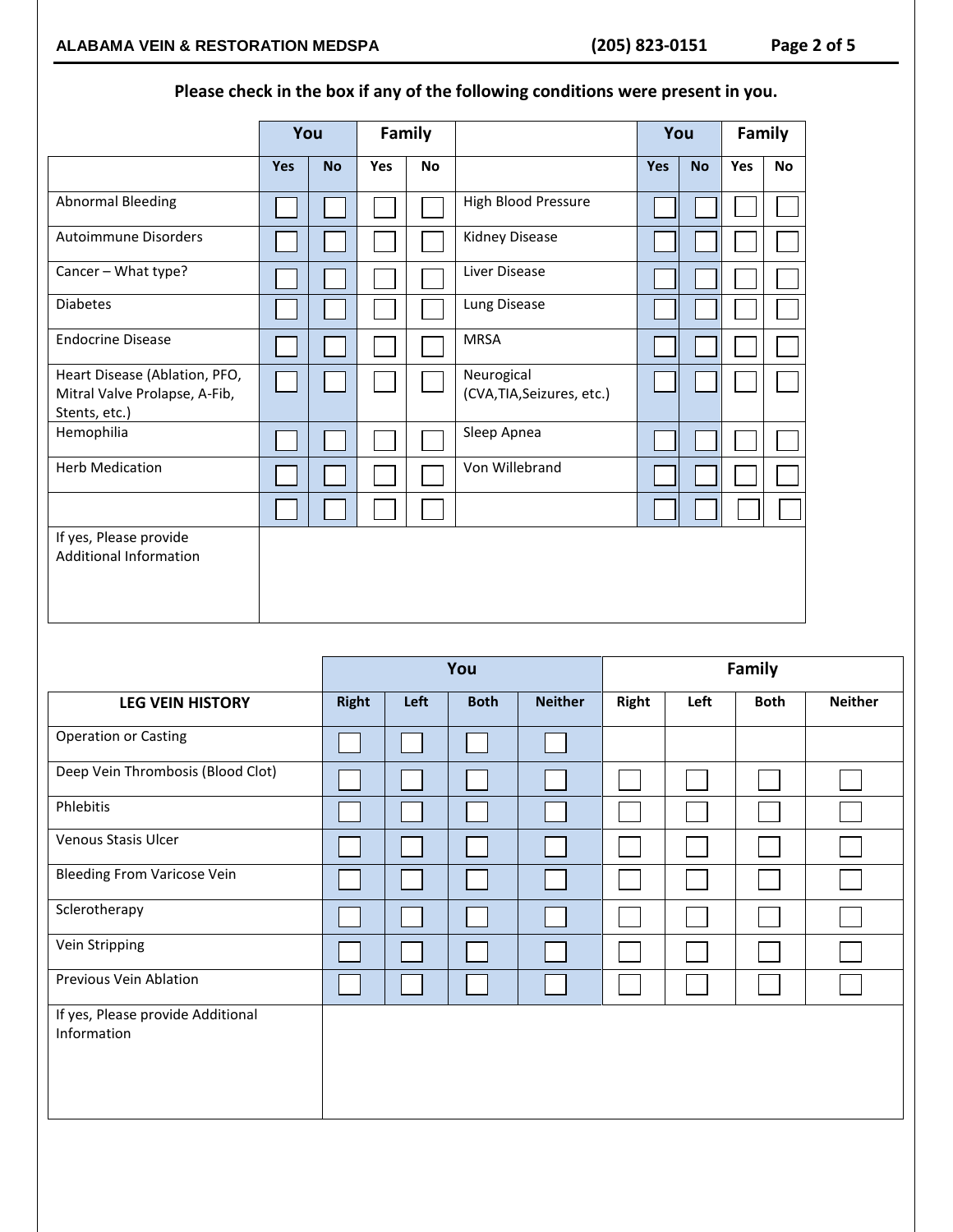# **Please check in the box if any of the following conditions were present in you.**

|                                                                                 | You        |           | Family     |           |                                          | You        |           |     | Family    |
|---------------------------------------------------------------------------------|------------|-----------|------------|-----------|------------------------------------------|------------|-----------|-----|-----------|
|                                                                                 | <b>Yes</b> | <b>No</b> | <b>Yes</b> | <b>No</b> |                                          | <b>Yes</b> | <b>No</b> | Yes | <b>No</b> |
| <b>Abnormal Bleeding</b>                                                        |            |           |            |           | High Blood Pressure                      |            |           |     |           |
| <b>Autoimmune Disorders</b>                                                     |            |           |            |           | Kidney Disease                           |            |           |     |           |
| Cancer - What type?                                                             |            |           |            |           | Liver Disease                            |            |           |     |           |
| <b>Diabetes</b>                                                                 |            |           |            |           | Lung Disease                             |            |           |     |           |
| <b>Endocrine Disease</b>                                                        |            |           |            |           | <b>MRSA</b>                              |            |           |     |           |
| Heart Disease (Ablation, PFO,<br>Mitral Valve Prolapse, A-Fib,<br>Stents, etc.) |            |           |            |           | Neurogical<br>(CVA, TIA, Seizures, etc.) |            |           |     |           |
| Hemophilia                                                                      |            |           |            |           | Sleep Apnea                              |            |           |     |           |
| <b>Herb Medication</b>                                                          |            |           |            |           | Von Willebrand                           |            |           |     |           |
|                                                                                 |            |           |            |           |                                          |            |           |     |           |
| If yes, Please provide<br><b>Additional Information</b>                         |            |           |            |           |                                          |            |           |     |           |

|                                                  |       |      | You         |                |       |      |             |                |
|--------------------------------------------------|-------|------|-------------|----------------|-------|------|-------------|----------------|
| <b>LEG VEIN HISTORY</b>                          | Right | Left | <b>Both</b> | <b>Neither</b> | Right | Left | <b>Both</b> | <b>Neither</b> |
| <b>Operation or Casting</b>                      |       |      |             |                |       |      |             |                |
| Deep Vein Thrombosis (Blood Clot)                |       |      |             |                |       |      |             |                |
| Phlebitis                                        |       |      |             |                |       |      |             |                |
| Venous Stasis Ulcer                              |       |      |             |                |       |      |             |                |
| <b>Bleeding From Varicose Vein</b>               |       |      |             |                |       |      |             |                |
| Sclerotherapy                                    |       |      |             |                |       |      |             |                |
| Vein Stripping                                   |       |      |             |                |       |      |             |                |
| Previous Vein Ablation                           |       |      |             |                |       |      |             |                |
| If yes, Please provide Additional<br>Information |       |      |             |                |       |      |             |                |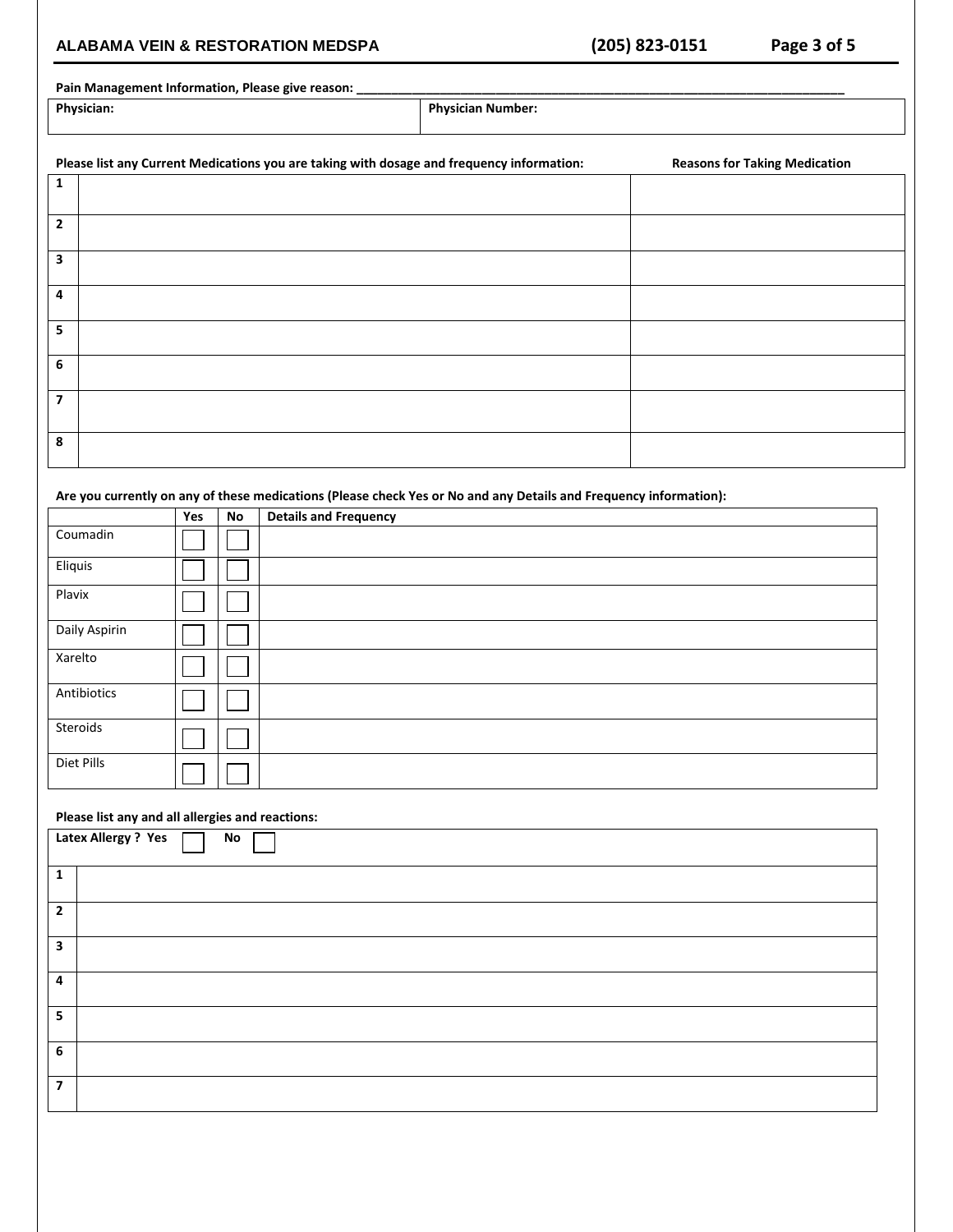# **ALABAMA VEIN & RESTORATION MEDSPA (205) 823-0151 Page 3 of 5**

### Pain Management Information, Please give reason:

**Physician: Physician Number:**

| Please list any Current Medications you are taking with dosage and frequency information: | <b>Reasons for Taking Medication</b> |
|-------------------------------------------------------------------------------------------|--------------------------------------|
| 1                                                                                         |                                      |
|                                                                                           |                                      |
| $\mathbf{2}$                                                                              |                                      |
| 3                                                                                         |                                      |
| 4                                                                                         |                                      |
| 5                                                                                         |                                      |
| 6                                                                                         |                                      |
| 7                                                                                         |                                      |
| 8                                                                                         |                                      |

### **Are you currently on any of these medications (Please check Yes or No and any Details and Frequency information):**

|               | Yes | No | <b>Details and Frequency</b> |
|---------------|-----|----|------------------------------|
| Coumadin      |     |    |                              |
| Eliquis       |     |    |                              |
| Plavix        |     |    |                              |
| Daily Aspirin |     |    |                              |
| Xarelto       |     |    |                              |
| Antibiotics   |     |    |                              |
| Steroids      |     |    |                              |
| Diet Pills    |     |    |                              |

### **Please list any and all allergies and reactions:**

|                          | Latex Allergy? Yes<br>No |
|--------------------------|--------------------------|
| $\mathbf{1}$             |                          |
| $\overline{2}$           |                          |
| 3                        |                          |
| 4                        |                          |
| 5                        |                          |
| 6                        |                          |
| $\overline{\phantom{a}}$ |                          |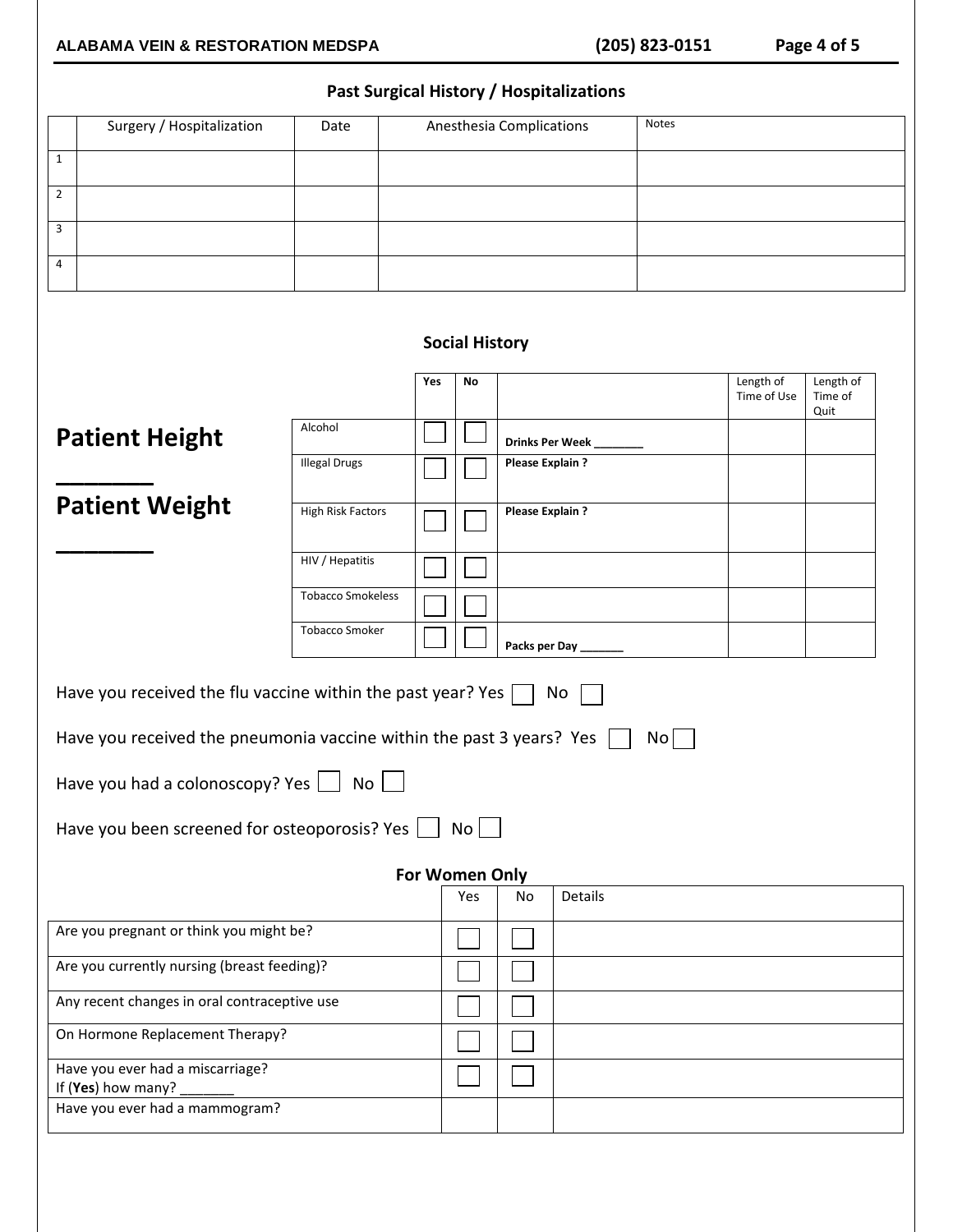# **Past Surgical History / Hospitalizations**

| ast sargreammster ; ; ; nosprtanzations      |                                                                      |                          |                |                        |                          |                        |              |                          |                      |
|----------------------------------------------|----------------------------------------------------------------------|--------------------------|----------------|------------------------|--------------------------|------------------------|--------------|--------------------------|----------------------|
|                                              | Surgery / Hospitalization                                            | Date                     |                |                        | Anesthesia Complications |                        | <b>Notes</b> |                          |                      |
| $\mathbf{1}$                                 |                                                                      |                          |                |                        |                          |                        |              |                          |                      |
| $\overline{2}$                               |                                                                      |                          |                |                        |                          |                        |              |                          |                      |
| 3                                            |                                                                      |                          |                |                        |                          |                        |              |                          |                      |
| 4                                            |                                                                      |                          |                |                        |                          |                        |              |                          |                      |
|                                              |                                                                      |                          |                |                        |                          |                        |              |                          |                      |
|                                              |                                                                      |                          |                | <b>Social History</b>  |                          |                        |              |                          |                      |
|                                              |                                                                      |                          | Yes            | No                     |                          |                        |              | Length of<br>Time of Use | Length of<br>Time of |
|                                              |                                                                      | Alcohol                  |                |                        |                          |                        |              |                          | Quit                 |
|                                              | <b>Patient Height</b>                                                |                          |                |                        |                          | <b>Drinks Per Week</b> |              |                          |                      |
|                                              |                                                                      | <b>Illegal Drugs</b>     |                |                        | Please Explain ?         |                        |              |                          |                      |
|                                              | <b>Patient Weight</b>                                                | <b>High Risk Factors</b> |                |                        | Please Explain ?         |                        |              |                          |                      |
|                                              |                                                                      |                          |                |                        |                          |                        |              |                          |                      |
|                                              |                                                                      | HIV / Hepatitis          |                |                        |                          |                        |              |                          |                      |
|                                              |                                                                      | <b>Tobacco Smokeless</b> |                |                        |                          |                        |              |                          |                      |
|                                              |                                                                      | <b>Tobacco Smoker</b>    |                |                        | Packs per Day            |                        |              |                          |                      |
|                                              |                                                                      |                          |                |                        |                          |                        |              |                          |                      |
|                                              | Have you received the flu vaccine within the past year? Yes $\Box$   |                          |                |                        |                          | No                     |              |                          |                      |
|                                              | Have you received the pneumonia vaccine within the past 3 years? Yes |                          |                |                        |                          |                        | No           |                          |                      |
|                                              | Have you had a colonoscopy? Yes                                      | No                       |                |                        |                          |                        |              |                          |                      |
|                                              | Have you been screened for osteoporosis? Yes                         |                          |                | $\overline{N_{\rm O}}$ |                          |                        |              |                          |                      |
|                                              |                                                                      |                          | For Women Only |                        |                          |                        |              |                          |                      |
|                                              |                                                                      |                          |                | Yes                    | No                       | Details                |              |                          |                      |
|                                              | Are you pregnant or think you might be?                              |                          |                |                        |                          |                        |              |                          |                      |
|                                              | Are you currently nursing (breast feeding)?                          |                          |                |                        |                          |                        |              |                          |                      |
| Any recent changes in oral contraceptive use |                                                                      |                          |                |                        |                          |                        |              |                          |                      |
|                                              | On Hormone Replacement Therapy?                                      |                          |                |                        |                          |                        |              |                          |                      |
|                                              | Have you ever had a miscarriage?                                     |                          |                |                        |                          |                        |              |                          |                      |
|                                              | If (Yes) how many?<br>Have you ever had a mammogram?                 |                          |                |                        |                          |                        |              |                          |                      |
|                                              |                                                                      |                          |                |                        |                          |                        |              |                          |                      |